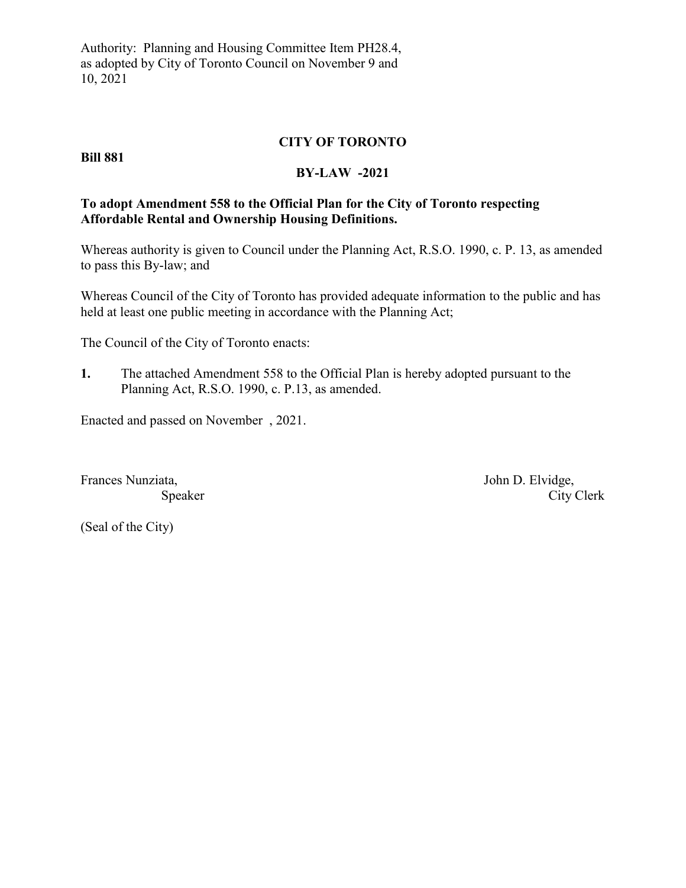Authority: Planning and Housing Committee Item PH28.4, as adopted by City of Toronto Council on November 9 and 10, 2021

### **CITY OF TORONTO**

#### **Bill 881**

#### **BY-LAW -2021**

## **To adopt Amendment 558 to the Official Plan for the City of Toronto respecting Affordable Rental and Ownership Housing Definitions.**

Whereas authority is given to Council under the Planning Act, R.S.O. 1990, c. P. 13, as amended to pass this By-law; and

Whereas Council of the City of Toronto has provided adequate information to the public and has held at least one public meeting in accordance with the Planning Act;

The Council of the City of Toronto enacts:

**1.** The attached Amendment 558 to the Official Plan is hereby adopted pursuant to the Planning Act, R.S.O. 1990, c. P.13, as amended.

Enacted and passed on November , 2021.

Frances Nunziata, John D. Elvidge,

Speaker City Clerk

(Seal of the City)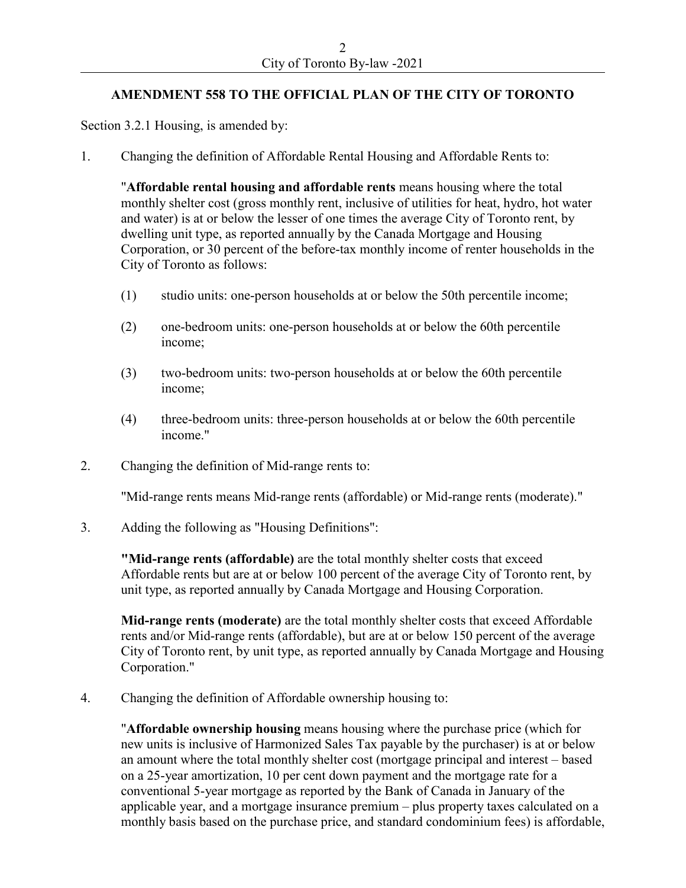# **AMENDMENT 558 TO THE OFFICIAL PLAN OF THE CITY OF TORONTO**

Section 3.2.1 Housing, is amended by:

1. Changing the definition of Affordable Rental Housing and Affordable Rents to:

"**Affordable rental housing and affordable rents** means housing where the total monthly shelter cost (gross monthly rent, inclusive of utilities for heat, hydro, hot water and water) is at or below the lesser of one times the average City of Toronto rent, by dwelling unit type, as reported annually by the Canada Mortgage and Housing Corporation, or 30 percent of the before-tax monthly income of renter households in the City of Toronto as follows:

- (1) studio units: one-person households at or below the 50th percentile income;
- (2) one-bedroom units: one-person households at or below the 60th percentile income;
- (3) two-bedroom units: two-person households at or below the 60th percentile income;
- (4) three-bedroom units: three-person households at or below the 60th percentile income."
- 2. Changing the definition of Mid-range rents to:

"Mid-range rents means Mid-range rents (affordable) or Mid-range rents (moderate)."

3. Adding the following as "Housing Definitions":

**"Mid-range rents (affordable)** are the total monthly shelter costs that exceed Affordable rents but are at or below 100 percent of the average City of Toronto rent, by unit type, as reported annually by Canada Mortgage and Housing Corporation.

**Mid-range rents (moderate)** are the total monthly shelter costs that exceed Affordable rents and/or Mid-range rents (affordable), but are at or below 150 percent of the average City of Toronto rent, by unit type, as reported annually by Canada Mortgage and Housing Corporation."

4. Changing the definition of Affordable ownership housing to:

"**Affordable ownership housing** means housing where the purchase price (which for new units is inclusive of Harmonized Sales Tax payable by the purchaser) is at or below an amount where the total monthly shelter cost (mortgage principal and interest – based on a 25-year amortization, 10 per cent down payment and the mortgage rate for a conventional 5-year mortgage as reported by the Bank of Canada in January of the applicable year, and a mortgage insurance premium – plus property taxes calculated on a monthly basis based on the purchase price, and standard condominium fees) is affordable,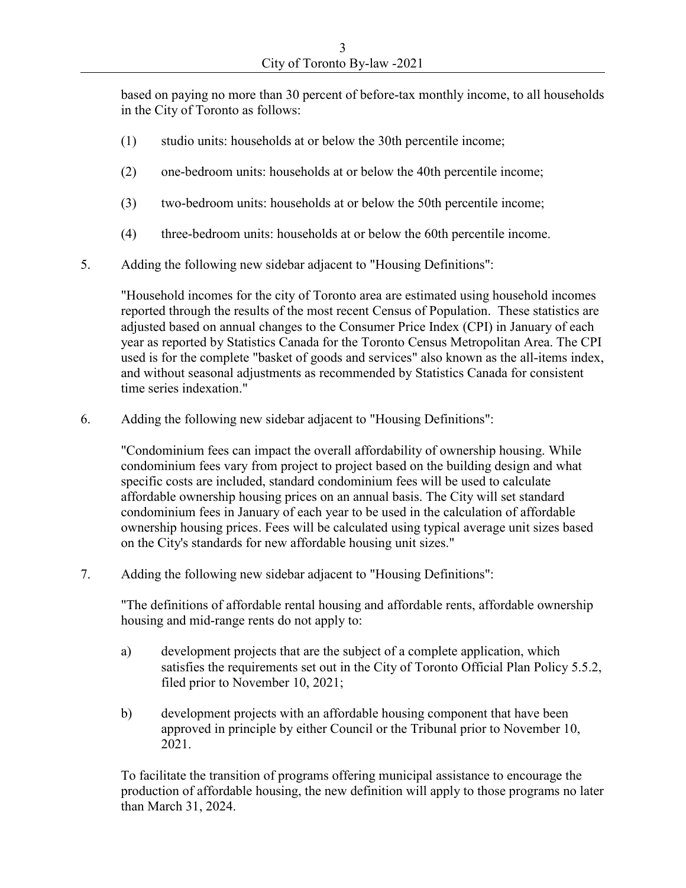based on paying no more than 30 percent of before-tax monthly income, to all households in the City of Toronto as follows:

- (1) studio units: households at or below the 30th percentile income;
- (2) one-bedroom units: households at or below the 40th percentile income;
- (3) two-bedroom units: households at or below the 50th percentile income;
- (4) three-bedroom units: households at or below the 60th percentile income.
- 5. Adding the following new sidebar adjacent to "Housing Definitions":

"Household incomes for the city of Toronto area are estimated using household incomes reported through the results of the most recent Census of Population. These statistics are adjusted based on annual changes to the Consumer Price Index (CPI) in January of each year as reported by Statistics Canada for the Toronto Census Metropolitan Area. The CPI used is for the complete "basket of goods and services" also known as the all-items index, and without seasonal adjustments as recommended by Statistics Canada for consistent time series indexation."

6. Adding the following new sidebar adjacent to "Housing Definitions":

"Condominium fees can impact the overall affordability of ownership housing. While condominium fees vary from project to project based on the building design and what specific costs are included, standard condominium fees will be used to calculate affordable ownership housing prices on an annual basis. The City will set standard condominium fees in January of each year to be used in the calculation of affordable ownership housing prices. Fees will be calculated using typical average unit sizes based on the City's standards for new affordable housing unit sizes."

7. Adding the following new sidebar adjacent to "Housing Definitions":

"The definitions of affordable rental housing and affordable rents, affordable ownership housing and mid-range rents do not apply to:

- a) development projects that are the subject of a complete application, which satisfies the requirements set out in the City of Toronto Official Plan Policy 5.5.2, filed prior to November 10, 2021;
- b) development projects with an affordable housing component that have been approved in principle by either Council or the Tribunal prior to November 10, 2021.

To facilitate the transition of programs offering municipal assistance to encourage the production of affordable housing, the new definition will apply to those programs no later than March 31, 2024.